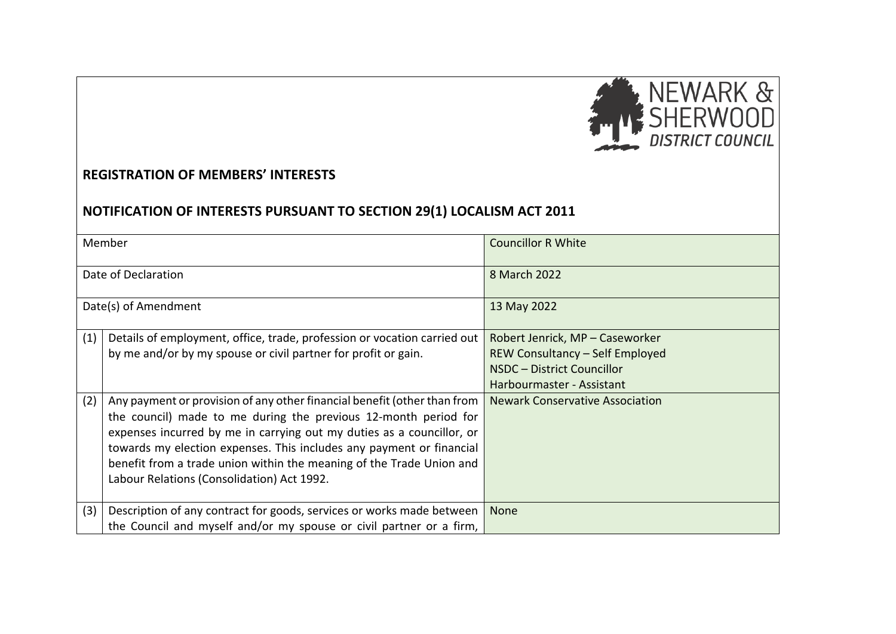

## **REGISTRATION OF MEMBERS' INTERESTS**

## **NOTIFICATION OF INTERESTS PURSUANT TO SECTION 29(1) LOCALISM ACT 2011**

| Member               |                                                                          | <b>Councillor R White</b>              |
|----------------------|--------------------------------------------------------------------------|----------------------------------------|
| Date of Declaration  |                                                                          | 8 March 2022                           |
| Date(s) of Amendment |                                                                          | 13 May 2022                            |
| (1)                  | Details of employment, office, trade, profession or vocation carried out | Robert Jenrick, MP - Caseworker        |
|                      | by me and/or by my spouse or civil partner for profit or gain.           | REW Consultancy - Self Employed        |
|                      |                                                                          | NSDC - District Councillor             |
|                      |                                                                          | Harbourmaster - Assistant              |
| (2)                  | Any payment or provision of any other financial benefit (other than from | <b>Newark Conservative Association</b> |
|                      | the council) made to me during the previous 12-month period for          |                                        |
|                      | expenses incurred by me in carrying out my duties as a councillor, or    |                                        |
|                      | towards my election expenses. This includes any payment or financial     |                                        |
|                      | benefit from a trade union within the meaning of the Trade Union and     |                                        |
|                      | Labour Relations (Consolidation) Act 1992.                               |                                        |
|                      |                                                                          |                                        |
| (3)                  | Description of any contract for goods, services or works made between    | <b>None</b>                            |
|                      | the Council and myself and/or my spouse or civil partner or a firm,      |                                        |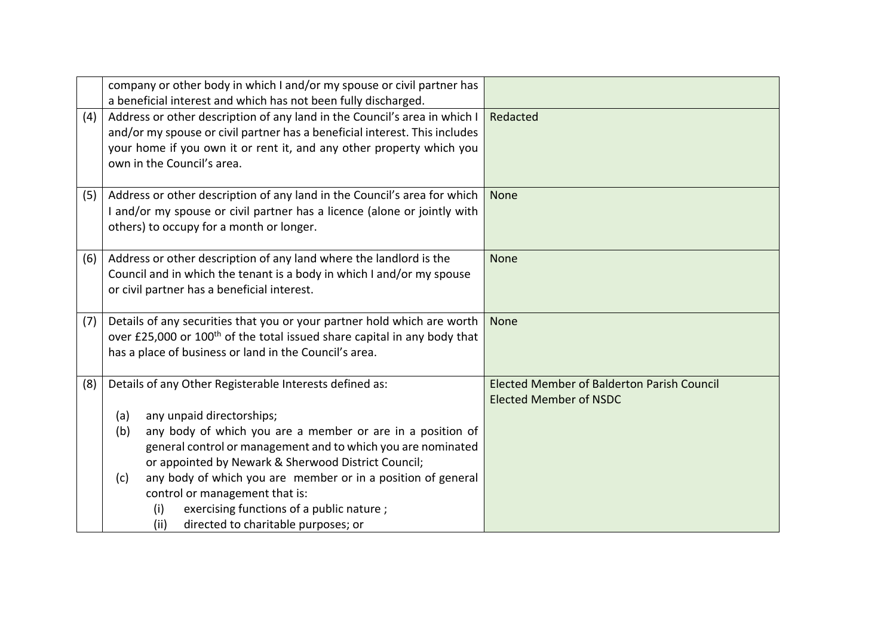|                                                                                                                                                                                                         | company or other body in which I and/or my spouse or civil partner has<br>a beneficial interest and which has not been fully discharged.                                                                                                                                                                                                                                                                                                            |                                                                                    |
|---------------------------------------------------------------------------------------------------------------------------------------------------------------------------------------------------------|-----------------------------------------------------------------------------------------------------------------------------------------------------------------------------------------------------------------------------------------------------------------------------------------------------------------------------------------------------------------------------------------------------------------------------------------------------|------------------------------------------------------------------------------------|
| (4)                                                                                                                                                                                                     | Address or other description of any land in the Council's area in which I<br>and/or my spouse or civil partner has a beneficial interest. This includes<br>your home if you own it or rent it, and any other property which you<br>own in the Council's area.                                                                                                                                                                                       | Redacted                                                                           |
| Address or other description of any land in the Council's area for which<br>(5)<br>I and/or my spouse or civil partner has a licence (alone or jointly with<br>others) to occupy for a month or longer. |                                                                                                                                                                                                                                                                                                                                                                                                                                                     | <b>None</b>                                                                        |
| (6)                                                                                                                                                                                                     | Address or other description of any land where the landlord is the<br>Council and in which the tenant is a body in which I and/or my spouse<br>or civil partner has a beneficial interest.                                                                                                                                                                                                                                                          | None                                                                               |
| (7)                                                                                                                                                                                                     | Details of any securities that you or your partner hold which are worth<br>over £25,000 or 100 <sup>th</sup> of the total issued share capital in any body that<br>has a place of business or land in the Council's area.                                                                                                                                                                                                                           | <b>None</b>                                                                        |
| (8)                                                                                                                                                                                                     | Details of any Other Registerable Interests defined as:<br>any unpaid directorships;<br>(a)<br>any body of which you are a member or are in a position of<br>(b)<br>general control or management and to which you are nominated<br>or appointed by Newark & Sherwood District Council;<br>any body of which you are member or in a position of general<br>(c)<br>control or management that is:<br>exercising functions of a public nature;<br>(i) | <b>Elected Member of Balderton Parish Council</b><br><b>Elected Member of NSDC</b> |
|                                                                                                                                                                                                         | directed to charitable purposes; or<br>(ii)                                                                                                                                                                                                                                                                                                                                                                                                         |                                                                                    |